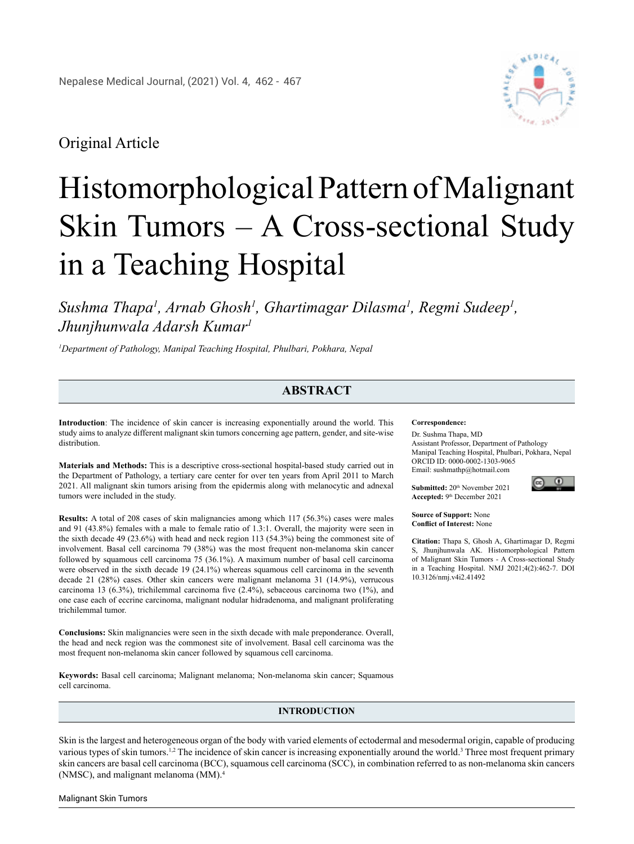

## Original Article

# Histomorphological Pattern of Malignant Skin Tumors – A Cross-sectional Study in a Teaching Hospital

*Sushma Thapa1 , Arnab Ghosh1 , Ghartimagar Dilasma1 , Regmi Sudeep1 , Jhunjhunwala Adarsh Kumar1*

*1 Department of Pathology, Manipal Teaching Hospital, Phulbari, Pokhara, Nepal*

### **ABSTRACT**

**Introduction**: The incidence of skin cancer is increasing exponentially around the world. This study aims to analyze different malignant skin tumors concerning age pattern, gender, and site-wise distribution.

**Materials and Methods:** This is a descriptive cross-sectional hospital-based study carried out in the Department of Pathology, a tertiary care center for over ten years from April 2011 to March 2021. All malignant skin tumors arising from the epidermis along with melanocytic and adnexal tumors were included in the study.

**Results:** A total of 208 cases of skin malignancies among which 117 (56.3%) cases were males and 91 (43.8%) females with a male to female ratio of 1.3:1. Overall, the majority were seen in the sixth decade 49 (23.6%) with head and neck region 113 (54.3%) being the commonest site of involvement. Basal cell carcinoma 79 (38%) was the most frequent non-melanoma skin cancer followed by squamous cell carcinoma 75 (36.1%). A maximum number of basal cell carcinoma were observed in the sixth decade 19 (24.1%) whereas squamous cell carcinoma in the seventh decade 21 (28%) cases. Other skin cancers were malignant melanoma 31 (14.9%), verrucous carcinoma 13 (6.3%), trichilemmal carcinoma five (2.4%), sebaceous carcinoma two (1%), and one case each of eccrine carcinoma, malignant nodular hidradenoma, and malignant proliferating trichilemmal tumor.

**Conclusions:** Skin malignancies were seen in the sixth decade with male preponderance. Overall, the head and neck region was the commonest site of involvement. Basal cell carcinoma was the most frequent non-melanoma skin cancer followed by squamous cell carcinoma.

**Keywords:** Basal cell carcinoma; Malignant melanoma; Non-melanoma skin cancer; Squamous cell carcinoma.

#### **INTRODUCTION**

Skin is the largest and heterogeneous organ of the body with varied elements of ectodermal and mesodermal origin, capable of producing various types of skin tumors.<sup>1,2</sup> The incidence of skin cancer is increasing exponentially around the world.<sup>3</sup> Three most frequent primary skin cancers are basal cell carcinoma (BCC), squamous cell carcinoma (SCC), in combination referred to as non-melanoma skin cancers (NMSC), and malignant melanoma (MM).4

#### **Correspondence:**

Dr. Sushma Thapa, MD Assistant Professor, Department of Pathology Manipal Teaching Hospital, Phulbari, Pokhara, Nepal ORCID ID: 0000-0002-1303-9065 Email: [sushmathp@hotmail.com](mailto:sushmathp@hotmail.com) 

**Submitted: 20th November 2021 Accepted:** 9th December 2021



**Source of Support:** None **Conflict of Interest:** None

**Citation:** Thapa S, Ghosh A, Ghartimagar D, Regmi S, Jhunjhunwala AK. Histomorphological Pattern of Malignant Skin Tumors - A Cross-sectional Study in a Teaching Hospital. NMJ 2021;4(2):462-7. DOI 10.3126/nmj.v4i2.41492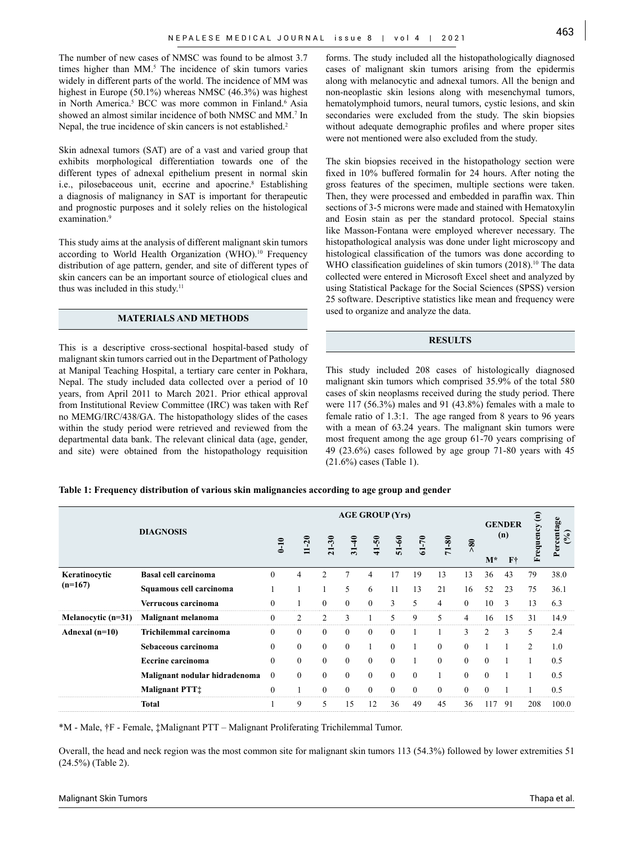The number of new cases of NMSC was found to be almost 3.7 times higher than MM.<sup>5</sup> The incidence of skin tumors varies widely in different parts of the world. The incidence of MM was highest in Europe (50.1%) whereas NMSC (46.3%) was highest in North America.<sup>5</sup> BCC was more common in Finland.<sup>6</sup> Asia showed an almost similar incidence of both NMSC and MM.<sup>7</sup> In Nepal, the true incidence of skin cancers is not established.<sup>2</sup>

Skin adnexal tumors (SAT) are of a vast and varied group that exhibits morphological differentiation towards one of the different types of adnexal epithelium present in normal skin i.e., pilosebaceous unit, eccrine and apocrine.8 Establishing a diagnosis of malignancy in SAT is important for therapeutic and prognostic purposes and it solely relies on the histological examination.<sup>9</sup>

This study aims at the analysis of different malignant skin tumors according to World Health Organization (WHO).<sup>10</sup> Frequency distribution of age pattern, gender, and site of different types of skin cancers can be an important source of etiological clues and thus was included in this study.<sup>11</sup>

#### **MATERIALS AND METHODS**

This is a descriptive cross-sectional hospital-based study of malignant skin tumors carried out in the Department of Pathology at Manipal Teaching Hospital, a tertiary care center in Pokhara, Nepal. The study included data collected over a period of 10 years, from April 2011 to March 2021. Prior ethical approval from Institutional Review Committee (IRC) was taken with Ref no MEMG/IRC/438/GA. The histopathology slides of the cases within the study period were retrieved and reviewed from the departmental data bank. The relevant clinical data (age, gender, and site) were obtained from the histopathology requisition

forms. The study included all the histopathologically diagnosed cases of malignant skin tumors arising from the epidermis along with melanocytic and adnexal tumors. All the benign and non-neoplastic skin lesions along with mesenchymal tumors, hematolymphoid tumors, neural tumors, cystic lesions, and skin secondaries were excluded from the study. The skin biopsies without adequate demographic profiles and where proper sites were not mentioned were also excluded from the study.

The skin biopsies received in the histopathology section were fixed in 10% buffered formalin for 24 hours. After noting the gross features of the specimen, multiple sections were taken. Then, they were processed and embedded in paraffin wax. Thin sections of 3-5 microns were made and stained with Hematoxylin and Eosin stain as per the standard protocol. Special stains like Masson-Fontana were employed wherever necessary. The histopathological analysis was done under light microscopy and histological classification of the tumors was done according to WHO classification guidelines of skin tumors (2018).<sup>10</sup> The data collected were entered in Microsoft Excel sheet and analyzed by using Statistical Package for the Social Sciences (SPSS) version 25 software. Descriptive statistics like mean and frequency were used to organize and analyze the data.

#### **RESULTS**

This study included 208 cases of histologically diagnosed malignant skin tumors which comprised 35.9% of the total 580 cases of skin neoplasms received during the study period. There were 117 (56.3%) males and 91 (43.8%) females with a male to female ratio of 1.3:1. The age ranged from 8 years to 96 years with a mean of 63.24 years. The malignant skin tumors were most frequent among the age group 61-70 years comprising of 49 (23.6%) cases followed by age group 71-80 years with 45 (21.6%) cases (Table 1).

#### **Table 1: Frequency distribution of various skin malignancies according to age group and gender**

|                            |                               | <b>AGE GROUP (Yrs)</b> |              |                  |                |           |              |           |                  |                | <b>GENDER</b>         |               |                   |       |
|----------------------------|-------------------------------|------------------------|--------------|------------------|----------------|-----------|--------------|-----------|------------------|----------------|-----------------------|---------------|-------------------|-------|
|                            | <b>DIAGNOSIS</b>              | $0 - 10$               | $11 - 20$    | $21 - 30$        | $31 - 40$      | $41 - 50$ | $51 - 60$    | $61 - 70$ | $71 - 80$        | $\frac{80}{5}$ | (n)<br>$M^*$<br>$F^+$ | equency<br>Ěĭ | Percentage<br>(%) |       |
| Keratinocytic<br>$(n=167)$ | <b>Basal cell carcinoma</b>   | $\theta$               | 4            | $\overline{2}$   | $\overline{7}$ | 4         | 17           | 19        | 13               | 13             | 36                    | 43            | 79                | 38.0  |
|                            | Squamous cell carcinoma       |                        |              |                  | 5              | 6         | 11           | 13        | 21               | 16             | 52                    | 23            | 75                | 36.1  |
|                            | Verrucous carcinoma           | $\theta$               |              | $\mathbf{0}$     | $\theta$       | $\theta$  | 3            | 5         | 4                | $\theta$       | 10                    | 3             | 13                | 6.3   |
| Melanocytic (n=31)         | Malignant melanoma            | $\mathbf{0}$           | 2            | $\overline{2}$   | 3              |           | 5            | 9         | 5                | 4              | 16                    | 15            | 31                | 14.9  |
| Adnexal $(n=10)$           | Trichilemmal carcinoma        | $\Omega$               | $\Omega$     | $\mathbf{0}$     | $\theta$       | $\Omega$  | $\theta$     |           |                  | 3              | 2                     | $\mathbf{3}$  | 5                 | 2.4   |
|                            | Sebaceous carcinoma           | $\Omega$               | $\mathbf{0}$ | $\boldsymbol{0}$ | $\mathbf{0}$   |           | $\mathbf{0}$ |           | $\boldsymbol{0}$ | $\theta$       |                       |               | 2                 | 1.0   |
|                            | <b>Eccrine</b> carcinoma      | $\Omega$               | $\theta$     | $\mathbf{0}$     | $\theta$       | $\Omega$  | $\mathbf{0}$ |           | $\Omega$         | $\Omega$       | $\theta$              |               |                   | 0.5   |
|                            | Malignant nodular hidradenoma | $\mathbf{0}$           | $\theta$     | $\mathbf{0}$     | $\theta$       | $\theta$  | $\mathbf{0}$ | $\Omega$  |                  | $\theta$       | $\theta$              |               |                   | 0.5   |
|                            | <b>Malignant PTT</b> :        | $\boldsymbol{0}$       |              | $\mathbf{0}$     | $\theta$       | $\theta$  | $\mathbf{0}$ | $\Omega$  | $\Omega$         | $\theta$       | $\theta$              |               |                   | 0.5   |
|                            | Total                         |                        | 9            | 5                | 15             | 12        | 36           | 49        | 45               | 36             | 117                   | 91            | 208               | 100.0 |

\*M - Male, †F - Female, ‡Malignant PTT – Malignant Proliferating Trichilemmal Tumor.

Overall, the head and neck region was the most common site for malignant skin tumors 113 (54.3%) followed by lower extremities 51 (24.5%) (Table 2).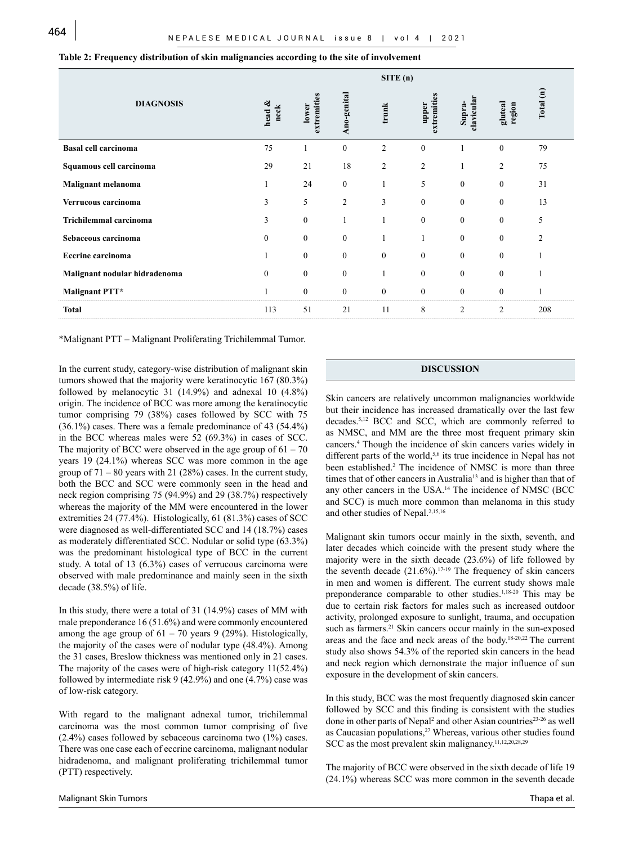|                               |                |                      |                  | SITE(n)          |                      |                      |                   |           |
|-------------------------------|----------------|----------------------|------------------|------------------|----------------------|----------------------|-------------------|-----------|
| <b>DIAGNOSIS</b>              | head &<br>neck | extremities<br>lower | Ano-genital      | trunk            | extremities<br>upper | clavicular<br>Supra- | gluteal<br>region | Total (n) |
| <b>Basal cell carcinoma</b>   | 75             |                      | $\boldsymbol{0}$ | 2                | $\mathbf{0}$         |                      | $\boldsymbol{0}$  | 79        |
| Squamous cell carcinoma       | 29             | 21                   | 18               | 2                | 2                    |                      | $\overline{c}$    | 75        |
| Malignant melanoma            | 1              | 24                   | $\boldsymbol{0}$ | 1                | 5                    | $\boldsymbol{0}$     | $\boldsymbol{0}$  | 31        |
| Verrucous carcinoma           | 3              | 5                    | $\boldsymbol{2}$ | 3                | $\boldsymbol{0}$     | $\boldsymbol{0}$     | $\boldsymbol{0}$  | 13        |
| Trichilemmal carcinoma        | 3              | $\mathbf{0}$         |                  |                  | $\mathbf{0}$         | $\boldsymbol{0}$     | $\boldsymbol{0}$  | 5         |
| Sebaceous carcinoma           | $\mathbf{0}$   | $\mathbf{0}$         | $\boldsymbol{0}$ |                  | 1                    | $\mathbf{0}$         | $\boldsymbol{0}$  | 2         |
| <b>Eccrine</b> carcinoma      |                | $\boldsymbol{0}$     | $\mathbf{0}$     | $\boldsymbol{0}$ | $\mathbf{0}$         | $\boldsymbol{0}$     | $\boldsymbol{0}$  |           |
| Malignant nodular hidradenoma | $\mathbf{0}$   | $\boldsymbol{0}$     | $\boldsymbol{0}$ |                  | $\mathbf{0}$         | $\boldsymbol{0}$     | $\boldsymbol{0}$  |           |
| Malignant PTT*                |                | $\boldsymbol{0}$     | $\boldsymbol{0}$ | $\boldsymbol{0}$ | $\boldsymbol{0}$     | $\boldsymbol{0}$     | $\boldsymbol{0}$  |           |
| <b>Total</b>                  | 113            | 51                   | 21               | 11               | 8                    | $\overline{2}$       | $\overline{c}$    | 208       |

#### **Table 2: Frequency distribution of skin malignancies according to the site of involvement**

\*Malignant PTT – Malignant Proliferating Trichilemmal Tumor.

In the current study, category-wise distribution of malignant skin tumors showed that the majority were keratinocytic 167 (80.3%) followed by melanocytic 31 (14.9%) and adnexal 10 (4.8%) origin. The incidence of BCC was more among the keratinocytic tumor comprising 79 (38%) cases followed by SCC with 75 (36.1%) cases. There was a female predominance of 43 (54.4%) in the BCC whereas males were 52 (69.3%) in cases of SCC. The majority of BCC were observed in the age group of  $61 - 70$ years 19 (24.1%) whereas SCC was more common in the age group of  $71 - 80$  years with 21 (28%) cases. In the current study, both the BCC and SCC were commonly seen in the head and neck region comprising 75 (94.9%) and 29 (38.7%) respectively whereas the majority of the MM were encountered in the lower extremities 24 (77.4%). Histologically, 61 (81.3%) cases of SCC were diagnosed as well-differentiated SCC and 14 (18.7%) cases as moderately differentiated SCC. Nodular or solid type (63.3%) was the predominant histological type of BCC in the current study. A total of 13 (6.3%) cases of verrucous carcinoma were observed with male predominance and mainly seen in the sixth decade (38.5%) of life.

In this study, there were a total of 31 (14.9%) cases of MM with male preponderance 16 (51.6%) and were commonly encountered among the age group of  $61 - 70$  years 9 (29%). Histologically, the majority of the cases were of nodular type (48.4%). Among the 31 cases, Breslow thickness was mentioned only in 21 cases. The majority of the cases were of high-risk category 11(52.4%) followed by intermediate risk 9 (42.9%) and one (4.7%) case was of low-risk category.

With regard to the malignant adnexal tumor, trichilemmal carcinoma was the most common tumor comprising of five (2.4%) cases followed by sebaceous carcinoma two (1%) cases. There was one case each of eccrine carcinoma, malignant nodular hidradenoma, and malignant proliferating trichilemmal tumor (PTT) respectively.

#### **DISCUSSION**

Skin cancers are relatively uncommon malignancies worldwide but their incidence has increased dramatically over the last few decades.5,12 BCC and SCC, which are commonly referred to as NMSC, and MM are the three most frequent primary skin cancers.4 Though the incidence of skin cancers varies widely in different parts of the world,<sup>5,6</sup> its true incidence in Nepal has not been established.<sup>2</sup> The incidence of NMSC is more than three times that of other cancers in Australia<sup>13</sup> and is higher than that of any other cancers in the USA.14 The incidence of NMSC (BCC and SCC) is much more common than melanoma in this study and other studies of Nepal.<sup>2,15,16</sup>

Malignant skin tumors occur mainly in the sixth, seventh, and later decades which coincide with the present study where the majority were in the sixth decade (23.6%) of life followed by the seventh decade  $(21.6\%)$ .<sup>17-19</sup> The frequency of skin cancers in men and women is different. The current study shows male preponderance comparable to other studies.1,18-20 This may be due to certain risk factors for males such as increased outdoor activity, prolonged exposure to sunlight, trauma, and occupation such as farmers.<sup>21</sup> Skin cancers occur mainly in the sun-exposed areas and the face and neck areas of the body.18-20,22 The current study also shows 54.3% of the reported skin cancers in the head and neck region which demonstrate the major influence of sun exposure in the development of skin cancers.

In this study, BCC was the most frequently diagnosed skin cancer followed by SCC and this finding is consistent with the studies done in other parts of Nepal<sup>2</sup> and other Asian countries<sup>23-26</sup> as well as Caucasian populations,<sup>27</sup> Whereas, various other studies found SCC as the most prevalent skin malignancy.11,12,20,28,29

The majority of BCC were observed in the sixth decade of life 19 (24.1%) whereas SCC was more common in the seventh decade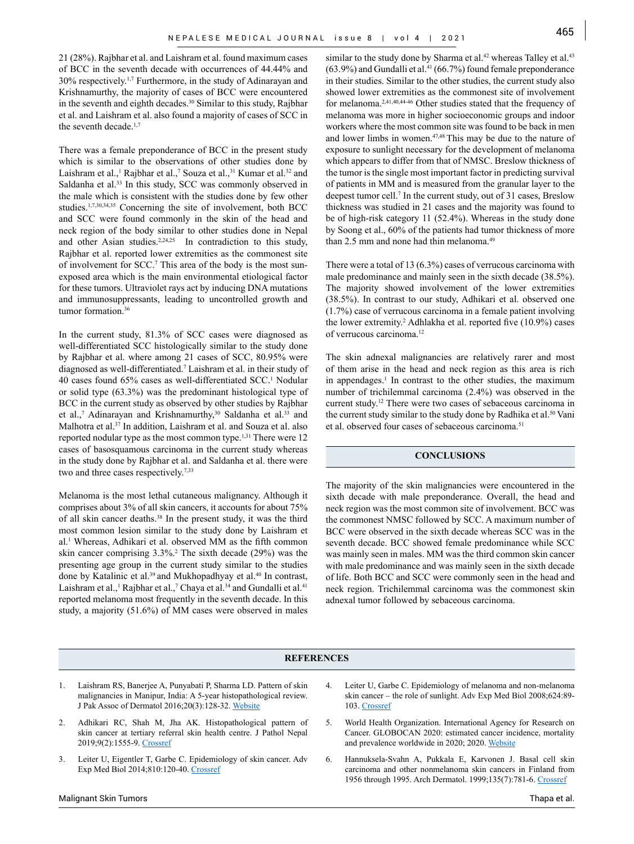21 (28%). Rajbhar et al. and Laishram et al. found maximum cases of BCC in the seventh decade with occurrences of 44.44% and 30% respectively.1,7 Furthermore, in the study of Adinarayan and Krishnamurthy, the majority of cases of BCC were encountered in the seventh and eighth decades.<sup>30</sup> Similar to this study, Rajbhar et al. and Laishram et al. also found a majority of cases of SCC in the seventh decade.<sup>1,7</sup>

There was a female preponderance of BCC in the present study which is similar to the observations of other studies done by Laishram et al.,<sup>1</sup> Rajbhar et al.,<sup>7</sup> Souza et al.,<sup>31</sup> Kumar et al.<sup>32</sup> and Saldanha et al.<sup>33</sup> In this study, SCC was commonly observed in the male which is consistent with the studies done by few other studies.1,7,30,34,35 Concerning the site of involvement, both BCC and SCC were found commonly in the skin of the head and neck region of the body similar to other studies done in Nepal and other Asian studies.<sup>2,24,25</sup> In contradiction to this study, Rajbhar et al. reported lower extremities as the commonest site of involvement for SCC.7 This area of the body is the most sunexposed area which is the main environmental etiological factor for these tumors. Ultraviolet rays act by inducing DNA mutations and immunosuppressants, leading to uncontrolled growth and tumor formation.<sup>36</sup>

In the current study, 81.3% of SCC cases were diagnosed as well-differentiated SCC histologically similar to the study done by Rajbhar et al. where among 21 cases of SCC, 80.95% were diagnosed as well-differentiated.7 Laishram et al. in their study of 40 cases found 65% cases as well-differentiated SCC.1 Nodular or solid type (63.3%) was the predominant histological type of BCC in the current study as observed by other studies by Rajbhar et al.,<sup>7</sup> Adinarayan and Krishnamurthy,<sup>30</sup> Saldanha et al.<sup>33</sup> and Malhotra et al.37 In addition, Laishram et al. and Souza et al. also reported nodular type as the most common type.<sup>1,31</sup> There were 12 cases of basosquamous carcinoma in the current study whereas in the study done by Rajbhar et al. and Saldanha et al. there were two and three cases respectively.<sup>7,33</sup>

Melanoma is the most lethal cutaneous malignancy. Although it comprises about 3% of all skin cancers, it accounts for about 75% of all skin cancer deaths.38 In the present study, it was the third most common lesion similar to the study done by Laishram et al.1 Whereas, Adhikari et al. observed MM as the fifth common skin cancer comprising 3.3%.<sup>2</sup> The sixth decade (29%) was the presenting age group in the current study similar to the studies done by Katalinic et al.<sup>39</sup> and Mukhopadhyay et al.<sup>40</sup> In contrast, Laishram et al.,<sup>1</sup> Rajbhar et al.,<sup>7</sup> Chaya et al.<sup>34</sup> and Gundalli et al.<sup>41</sup> reported melanoma most frequently in the seventh decade. In this study, a majority (51.6%) of MM cases were observed in males

similar to the study done by Sharma et al.<sup>42</sup> whereas Talley et al.<sup>43</sup>  $(63.9\%)$  and Gundalli et al.<sup>41</sup>  $(66.7\%)$  found female preponderance in their studies. Similar to the other studies, the current study also showed lower extremities as the commonest site of involvement for melanoma.2,41,40,44-46 Other studies stated that the frequency of melanoma was more in higher socioeconomic groups and indoor workers where the most common site was found to be back in men and lower limbs in women.47,48 This may be due to the nature of exposure to sunlight necessary for the development of melanoma which appears to differ from that of NMSC. Breslow thickness of the tumor is the single most important factor in predicting survival of patients in MM and is measured from the granular layer to the deepest tumor cell.7 In the current study, out of 31 cases, Breslow thickness was studied in 21 cases and the majority was found to be of high-risk category 11 (52.4%). Whereas in the study done by Soong et al., 60% of the patients had tumor thickness of more than 2.5 mm and none had thin melanoma.49

There were a total of 13 (6.3%) cases of verrucous carcinoma with male predominance and mainly seen in the sixth decade (38.5%). The majority showed involvement of the lower extremities (38.5%). In contrast to our study, Adhikari et al. observed one (1.7%) case of verrucous carcinoma in a female patient involving the lower extremity.<sup>2</sup> Adhlakha et al. reported five (10.9%) cases of verrucous carcinoma.12

The skin adnexal malignancies are relatively rarer and most of them arise in the head and neck region as this area is rich in appendages.<sup>1</sup> In contrast to the other studies, the maximum number of trichilemmal carcinoma (2.4%) was observed in the current study.12 There were two cases of sebaceous carcinoma in the current study similar to the study done by Radhika et al.<sup>50</sup> Vani et al. observed four cases of sebaceous carcinoma.<sup>51</sup>

#### **CONCLUSIONS**

The majority of the skin malignancies were encountered in the sixth decade with male preponderance. Overall, the head and neck region was the most common site of involvement. BCC was the commonest NMSC followed by SCC. A maximum number of BCC were observed in the sixth decade whereas SCC was in the seventh decade. BCC showed female predominance while SCC was mainly seen in males. MM was the third common skin cancer with male predominance and was mainly seen in the sixth decade of life. Both BCC and SCC were commonly seen in the head and neck region. Trichilemmal carcinoma was the commonest skin adnexal tumor followed by sebaceous carcinoma.

#### **REFERENCES**

- Laishram RS, Banerjee A, Punyabati P, Sharma LD. Pattern of skin malignancies in Manipur, India: A 5-year histopathological review. J Pak Assoc of Dermatol 2016;20(3):128-32. [Website](http://jpad.com.pk/index.php/jpad/article/view/404)
- 2. Adhikari RC, Shah M, Jha AK. Histopathological pattern of skin cancer at tertiary referral skin health centre. J Pathol Nepal 2019;9(2):1555-9. [Crossref](https://doi.org/10.3126/jpn.v9i2.25827)
- Leiter U, Eigentler T, Garbe C. Epidemiology of skin cancer. Adv Exp Med Biol 2014;810:120-40. [Crossref](https://doi.org/10.1007/978-3-030-46227-7_6)
- 4. Leiter U, Garbe C. Epidemiology of melanoma and non-melanoma skin cancer – the role of sunlight. Adv Exp Med Biol 2008;624:89- 103. [Crossref](https://doi.org/10.1007/978-0-387-77574-6_8)
- 5. World Health Organization. International Agency for Research on Cancer. GLOBOCAN 2020: estimated cancer incidence, mortality and prevalence worldwide in 2020; 2020. [Website](https://gco.iarc.fr/today/data/factsheets/populations/900-world-fact-sheets.pdf)
- 6. Hannuksela-Svahn A, Pukkala E, Karvonen J. Basal cell skin carcinoma and other nonmelanoma skin cancers in Finland from 1956 through 1995. Arch Dermatol. 1999;135(7):781-6. [Crossref](https://doi.org/10.1001/archderm.135.7.781)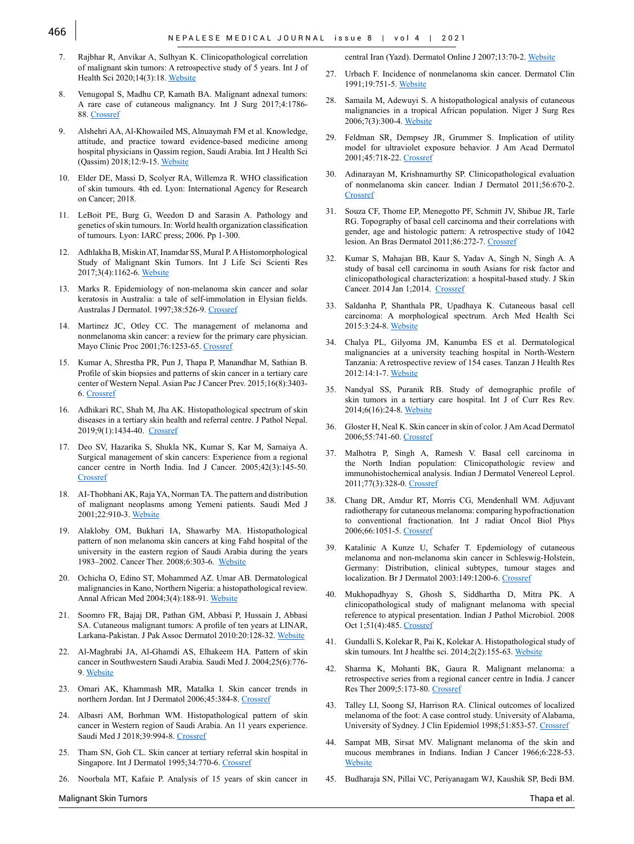- 7. Rajbhar R, Anvikar A, Sulhyan K. Clinicopathological correlation of malignant skin tumors: A retrospective study of 5 years. Int J of Health Sci 2020;14(3):18. [Website](https://pubmed.ncbi.nlm.nih.gov/32536845/)
- 8. Venugopal S, Madhu CP, Kamath BA. Malignant adnexal tumors: A rare case of cutaneous malignancy. Int J Surg 2017;4:1786- 88. [Crossref](http://dx.doi.org/10.18203/2349-2902.isj20171591)
- 9. Alshehri AA, Al-Khowailed MS, Alnuaymah FM et al. Knowledge, attitude, and practice toward evidence-based medicine among hospital physicians in Qassim region, Saudi Arabia. Int J Health Sci (Qassim) 2018;12:9-15. [Website](https://www.ncbi.nlm.nih.gov/pmc/articles/PMC5870327/)
- 10. Elder DE, Massi D, Scolyer RA, Willemza R. WHO classification of skin tumours. 4th ed. Lyon: International Agency for Research on Cancer; 2018.
- 11. LeBoit PE, Burg G, Weedon D and Sarasin A. Pathology and genetics of skin tumours. In: World health organization classification of tumours. Lyon: IARC press; 2006. Pp 1-300.
- 12. Adhlakha B, Miskin AT, Inamdar SS, Mural P. A Histomorphological Study of Malignant Skin Tumors. Int J Life Sci Scienti Res 2017;3(4):1162-6. [Website](https://iijls.com/currentissue/Histomorphological%20Study%20of%20Malignant%20Skin%20Tumors.pdf)
- 13. Marks R. Epidemiology of non-melanoma skin cancer and solar keratosis in Australia: a tale of self-immolation in Elysian fields. Australas J Dermatol. 1997;38:526-9. [Crossref](https://doi.org/10.1111/j.1440-0960.1997.tb01004.x)
- 14. Martinez JC, Otley CC. The management of melanoma and nonmelanoma skin cancer: a review for the primary care physician. Mayo Clinic Proc 2001;76:1253-65. [Crossref](https://doi.org/10.4065/76.12.1253)
- 15. Kumar A, Shrestha PR, Pun J, Thapa P, Manandhar M, Sathian B. Profile of skin biopsies and patterns of skin cancer in a tertiary care center of Western Nepal. Asian Pac J Cancer Prev. 2015;16(8):3403- 6. [Crossref](https://doi.org/10.7314/APJCP.2015.16.8.3403)
- 16. Adhikari RC, Shah M, Jha AK. Histopathological spectrum of skin diseases in a tertiary skin health and referral centre. J Pathol Nepal. 2019;9(1):1434-40. [Crossref](https://doi.org/10.3126/jpn.v9i1.23172])
- 17. Deo SV, Hazarika S, Shukla NK, Kumar S, Kar M, Samaiya A. Surgical management of skin cancers: Experience from a regional cancer centre in North India. Ind J Cancer. 2005;42(3):145-50. **[Crossref](https://doi.org/10.4103/0019-509x.17059)**
- 18. AI-Thobhani AK, Raja YA, Norman TA. The pattern and distribution of malignant neoplasms among Yemeni patients. Saudi Med J 2001;22:910-3. [Website](https://pubmed.ncbi.nlm.nih.gov/11744953/)
- 19. Alakloby OM, Bukhari IA, Shawarby MA. Histopathological pattern of non melanoma skin cancers at king Fahd hospital of the university in the eastern region of Saudi Arabia during the years 1983–2002. Cancer Ther. 2008;6:303-6. [Website](https://www.researchgate.net/publication/237458752)
- 20. Ochicha O, Edino ST, Mohammed AZ. Umar AB. Dermatological malignancies in Kano, Northern Nigeria: a histopathological review. Annal African Med 2004;3(4):188-91. [Website](https://www.ajol.info/index.php/aam/article/view/8338)
- 21. Soomro FR, Bajaj DR, Pathan GM, Abbasi P, Hussain J, Abbasi SA. Cutaneous malignant tumors: A profile of ten years at LINAR, Larkana-Pakistan. J Pak Assoc Dermatol 2010:20:128-32. [Website](http://www.jpad.com.pk/index.php/jpad/article/view/405)
- 22. Al-Maghrabi JA, Al-Ghamdi AS, Elhakeem HA. Pattern of skin cancer in Southwestern Saudi Arabia. Saudi Med J. 2004;25(6):776- 9. [Website](https://pubmed.ncbi.nlm.nih.gov/15195210/)
- 23. Omari AK, Khammash MR, Matalka I. Skin cancer trends in northern Jordan. Int J Dermatol 2006;45:384-8. [Crossref](https://doi.org/10.1111/j.1365-4632.2004.02444.x)
- 24. Albasri AM, Borhman WM. Histopathological pattern of skin cancer in Western region of Saudi Arabia. An 11 years experience. Saudi Med J 2018;39:994-8. [Crossref](https://doi.org/10.15537/smj.2018.10.22679)
- 25. Tham SN, Goh CL. Skin cancer at tertiary referral skin hospital in Singapore. Int J Dermatol 1995;34:770-6. [Crossref](https://doi.org/10.1111/j.1365-4362.1995.tb04395.x)
- 26. Noorbala MT, Kafaie P. Analysis of 15 years of skin cancer in

Malignant Skin Tumors

central Iran (Yazd). Dermatol Online J 2007;13:70-2. [Website](https://pubmed.ncbi.nlm.nih.gov/18318998/)

- 27. Urbach F. Incidence of nonmelanoma skin cancer. Dermatol Clin 1991;19:751-5. [Website](https://pubmed.ncbi.nlm.nih.gov/1934649/)
- 28. Samaila M, Adewuyi S. A histopathological analysis of cutaneous malignancies in a tropical African population. Niger J Surg Res 2006;7(3):300-4. [Website](https://www.ajol.info//index.php/njsr/article/view/12302)
- 29. Feldman SR, Dempsey JR, Grummer S. Implication of utility model for ultraviolet exposure behavior. J Am Acad Dermatol 2001;45:718-22. [Crossref](https://doi.org/10.1067/mjd.2001.117855)
- 30. Adinarayan M, Krishnamurthy SP. Clinicopathological evaluation of nonmelanoma skin cancer. Indian J Dermatol 2011;56:670-2. [Crossref](https://doi.org/10.4103/0019-5154.91826)
- 31. Souza CF, Thome EP, Menegotto PF, Schmitt JV, Shibue JR, Tarle RG. Topography of basal cell carcinoma and their correlations with gender, age and histologic pattern: A retrospective study of 1042 lesion. An Bras Dermatol 2011;86:272-7. [Crossref](https://doi.org/10.1590/S0365-05962011000200010)
- 32. Kumar S, Mahajan BB, Kaur S, Yadav A, Singh N, Singh A. A study of basal cell carcinoma in south Asians for risk factor and clinicopathological characterization: a hospital-based study. J Skin Cancer. 2014 Jan 1;2014. [Crossref](https://doi.org/10.1155/2014/173582)
- 33. Saldanha P, Shanthala PR, Upadhaya K. Cutaneous basal cell carcinoma: A morphological spectrum. Arch Med Health Sci 2015:3:24-8. [Website](https://www.amhsjournal.org/text.asp?2015/3/1/24/154935)
- 34. Chalya PL, Gilyoma JM, Kanumba ES et al. Dermatological malignancies at a university teaching hospital in North-Western Tanzania: A retrospective review of 154 cases. Tanzan J Health Res 2012:14:1-7. [Website](https://www.ajol.info//index.php/thrb/article/view/62763)
- 35. Nandyal SS, Puranik RB. Study of demographic profile of skin tumors in a tertiary care hospital. Int J of Curr Res Rev. 2014;6(16):24-8. [Website](https://www.ijcrr.com/uploads/780_pdf.pdf)
- 36. Gloster H, Neal K. Skin cancer in skin of color. J Am Acad Dermatol 2006;55:741-60. [Crossref](https://doi.org/10.1016/j.jaad.2005.08.063)
- 37. Malhotra P, Singh A, Ramesh V. Basal cell carcinoma in the North Indian population: Clinicopathologic review and immunohistochemical analysis. Indian J Dermatol Venereol Leprol. 2011;77(3):328-0. [Crossref](https://doi.org/10.4103/0378-6323.79710)
- 38. Chang DR, Amdur RT, Morris CG, Mendenhall WM. Adjuvant radiotherapy for cutaneous melanoma: comparing hypofractionation to conventional fractionation. Int J radiat Oncol Biol Phys 2006;66:1051-5. [Crossref](https://doi.org/10.1016/j.ijrobp.2006.05.056)
- 39. Katalinic A Kunze U, Schafer T. Epdemiology of cutaneous melanoma and non-melanoma skin cancer in Schleswig-Holstein, Germany: Distribution, clinical subtypes, tumour stages and localization. Br J Dermatol 2003:149:1200-6. [Crossref](https://doi.org/10.1111/j.1365-2133.2003.05554.x)
- 40. Mukhopadhyay S, Ghosh S, Siddhartha D, Mitra PK. A clinicopathological study of malignant melanoma with special reference to atypical presentation. Indian J Pathol Microbiol. 2008 Oct 1;51(4):485. [Crossref](https://doi.org/10.4103/0377-4929.43736)
- 41. Gundalli S, Kolekar R, Pai K, Kolekar A. Histopathological study of skin tumours. Int J healthc sci. 2014;2(2):155-63. [Website](https://statperson.com/Journal/ScienceAndTechnology/Article/Volume11Issue1/11_1_13.pdf)
- 42. Sharma K, Mohanti BK, Gaura R. Malignant melanoma: a retrospective series from a regional cancer centre in India. J cancer Res Ther 2009;5:173-80. [Crossref](https://doi.org/10.4103/0973-1482.57122)
- 43. Talley LI, Soong SJ, Harrison RA. Clinical outcomes of localized melanoma of the foot: A case control study. University of Alabama, University of Sydney. J Clin Epidemiol 1998;51:853-57. [Crossref](https://doi.org/10.1016/S0895-4356(98)00071-7)
- 44. Sampat MB, Sirsat MV. Malignant melanoma of the skin and mucous membranes in Indians. Indian J Cancer 1966;6:228-53. **[Website](https://pubmed.ncbi.nlm.nih.gov/5977880/)**
- 45. Budharaja SN, Pillai VC, Periyanagam WJ, Kaushik SP, Bedi BM.